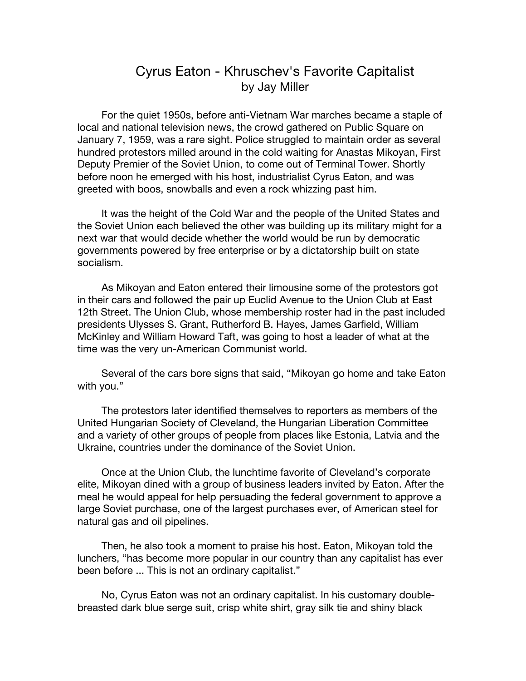## Cyrus Eaton - Khruschev's Favorite Capitalist by Jay Miller

For the quiet 1950s, before anti-Vietnam War marches became a staple of local and national television news, the crowd gathered on Public Square on January 7, 1959, was a rare sight. Police struggled to maintain order as several hundred protestors milled around in the cold waiting for Anastas Mikoyan, First Deputy Premier of the Soviet Union, to come out of Terminal Tower. Shortly before noon he emerged with his host, industrialist Cyrus Eaton, and was greeted with boos, snowballs and even a rock whizzing past him.

It was the height of the Cold War and the people of the United States and the Soviet Union each believed the other was building up its military might for a next war that would decide whether the world would be run by democratic governments powered by free enterprise or by a dictatorship built on state socialism.

As Mikoyan and Eaton entered their limousine some of the protestors got in their cars and followed the pair up Euclid Avenue to the Union Club at East 12th Street. The Union Club, whose membership roster had in the past included presidents Ulysses S. Grant, Rutherford B. Hayes, James Garfield, William McKinley and William Howard Taft, was going to host a leader of what at the time was the very un-American Communist world.

Several of the cars bore signs that said, "Mikoyan go home and take Eaton with you."

The protestors later identified themselves to reporters as members of the United Hungarian Society of Cleveland, the Hungarian Liberation Committee and a variety of other groups of people from places like Estonia, Latvia and the Ukraine, countries under the dominance of the Soviet Union.

Once at the Union Club, the lunchtime favorite of Cleveland's corporate elite, Mikoyan dined with a group of business leaders invited by Eaton. After the meal he would appeal for help persuading the federal government to approve a large Soviet purchase, one of the largest purchases ever, of American steel for natural gas and oil pipelines.

Then, he also took a moment to praise his host. Eaton, Mikoyan told the lunchers, "has become more popular in our country than any capitalist has ever been before ... This is not an ordinary capitalist."

No, Cyrus Eaton was not an ordinary capitalist. In his customary doublebreasted dark blue serge suit, crisp white shirt, gray silk tie and shiny black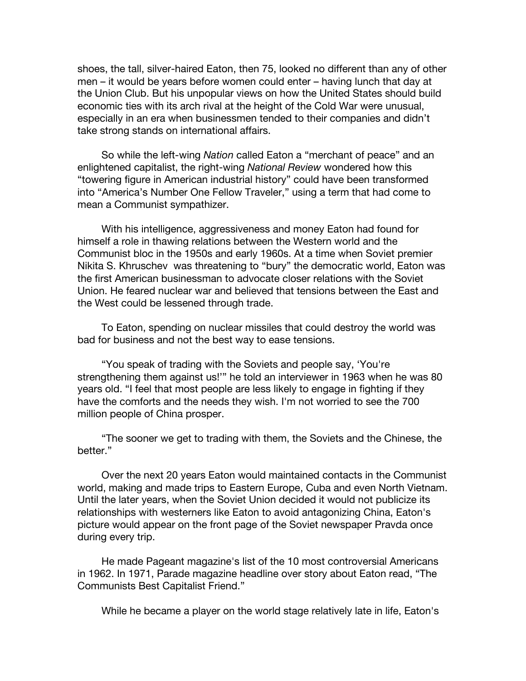shoes, the tall, silver-haired Eaton, then 75, looked no different than any of other men – it would be years before women could enter – having lunch that day at the Union Club. But his unpopular views on how the United States should build economic ties with its arch rival at the height of the Cold War were unusual, especially in an era when businessmen tended to their companies and didn't take strong stands on international affairs.

So while the left-wing *Nation* called Eaton a "merchant of peace" and an enlightened capitalist, the right-wing *National Review* wondered how this "towering figure in American industrial history" could have been transformed into "America's Number One Fellow Traveler," using a term that had come to mean a Communist sympathizer.

With his intelligence, aggressiveness and money Eaton had found for himself a role in thawing relations between the Western world and the Communist bloc in the 1950s and early 1960s. At a time when Soviet premier Nikita S. Khruschev was threatening to "bury" the democratic world, Eaton was the first American businessman to advocate closer relations with the Soviet Union. He feared nuclear war and believed that tensions between the East and the West could be lessened through trade.

To Eaton, spending on nuclear missiles that could destroy the world was bad for business and not the best way to ease tensions.

"You speak of trading with the Soviets and people say, 'You're strengthening them against us!'" he told an interviewer in 1963 when he was 80 years old. "I feel that most people are less likely to engage in fighting if they have the comforts and the needs they wish. I'm not worried to see the 700 million people of China prosper.

"The sooner we get to trading with them, the Soviets and the Chinese, the better."

Over the next 20 years Eaton would maintained contacts in the Communist world, making and made trips to Eastern Europe, Cuba and even North Vietnam. Until the later years, when the Soviet Union decided it would not publicize its relationships with westerners like Eaton to avoid antagonizing China, Eaton's picture would appear on the front page of the Soviet newspaper Pravda once during every trip.

He made Pageant magazine's list of the 10 most controversial Americans in 1962. In 1971, Parade magazine headline over story about Eaton read, "The Communists Best Capitalist Friend."

While he became a player on the world stage relatively late in life, Eaton's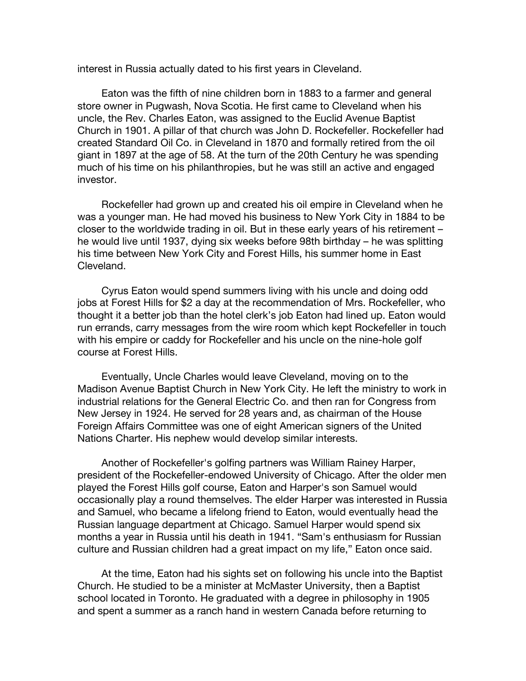interest in Russia actually dated to his first years in Cleveland.

Eaton was the fifth of nine children born in 1883 to a farmer and general store owner in Pugwash, Nova Scotia. He first came to Cleveland when his uncle, the Rev. Charles Eaton, was assigned to the Euclid Avenue Baptist Church in 1901. A pillar of that church was John D. Rockefeller. Rockefeller had created Standard Oil Co. in Cleveland in 1870 and formally retired from the oil giant in 1897 at the age of 58. At the turn of the 20th Century he was spending much of his time on his philanthropies, but he was still an active and engaged investor.

Rockefeller had grown up and created his oil empire in Cleveland when he was a younger man. He had moved his business to New York City in 1884 to be closer to the worldwide trading in oil. But in these early years of his retirement – he would live until 1937, dying six weeks before 98th birthday – he was splitting his time between New York City and Forest Hills, his summer home in East Cleveland.

Cyrus Eaton would spend summers living with his uncle and doing odd jobs at Forest Hills for \$2 a day at the recommendation of Mrs. Rockefeller, who thought it a better job than the hotel clerk's job Eaton had lined up. Eaton would run errands, carry messages from the wire room which kept Rockefeller in touch with his empire or caddy for Rockefeller and his uncle on the nine-hole golf course at Forest Hills.

Eventually, Uncle Charles would leave Cleveland, moving on to the Madison Avenue Baptist Church in New York City. He left the ministry to work in industrial relations for the General Electric Co. and then ran for Congress from New Jersey in 1924. He served for 28 years and, as chairman of the House Foreign Affairs Committee was one of eight American signers of the United Nations Charter. His nephew would develop similar interests.

Another of Rockefeller's golfing partners was William Rainey Harper, president of the Rockefeller-endowed University of Chicago. After the older men played the Forest Hills golf course, Eaton and Harper's son Samuel would occasionally play a round themselves. The elder Harper was interested in Russia and Samuel, who became a lifelong friend to Eaton, would eventually head the Russian language department at Chicago. Samuel Harper would spend six months a year in Russia until his death in 1941. "Sam's enthusiasm for Russian culture and Russian children had a great impact on my life," Eaton once said.

At the time, Eaton had his sights set on following his uncle into the Baptist Church. He studied to be a minister at McMaster University, then a Baptist school located in Toronto. He graduated with a degree in philosophy in 1905 and spent a summer as a ranch hand in western Canada before returning to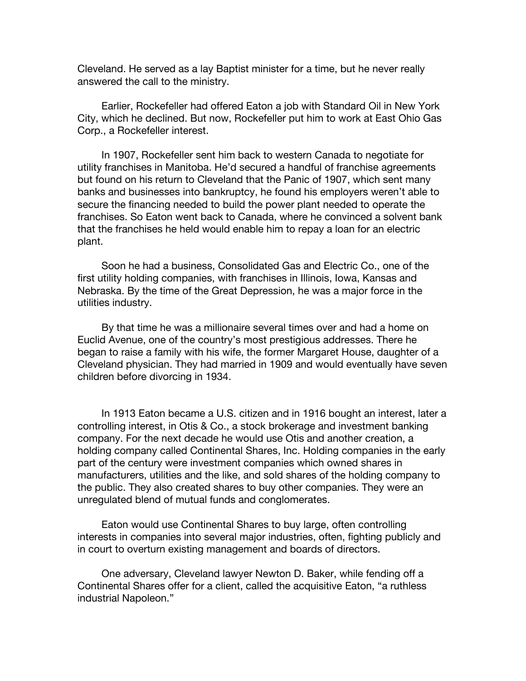Cleveland. He served as a lay Baptist minister for a time, but he never really answered the call to the ministry.

Earlier, Rockefeller had offered Eaton a job with Standard Oil in New York City, which he declined. But now, Rockefeller put him to work at East Ohio Gas Corp., a Rockefeller interest.

In 1907, Rockefeller sent him back to western Canada to negotiate for utility franchises in Manitoba. He'd secured a handful of franchise agreements but found on his return to Cleveland that the Panic of 1907, which sent many banks and businesses into bankruptcy, he found his employers weren't able to secure the financing needed to build the power plant needed to operate the franchises. So Eaton went back to Canada, where he convinced a solvent bank that the franchises he held would enable him to repay a loan for an electric plant.

Soon he had a business, Consolidated Gas and Electric Co., one of the first utility holding companies, with franchises in Illinois, Iowa, Kansas and Nebraska. By the time of the Great Depression, he was a major force in the utilities industry.

By that time he was a millionaire several times over and had a home on Euclid Avenue, one of the country's most prestigious addresses. There he began to raise a family with his wife, the former Margaret House, daughter of a Cleveland physician. They had married in 1909 and would eventually have seven children before divorcing in 1934.

In 1913 Eaton became a U.S. citizen and in 1916 bought an interest, later a controlling interest, in Otis & Co., a stock brokerage and investment banking company. For the next decade he would use Otis and another creation, a holding company called Continental Shares, Inc. Holding companies in the early part of the century were investment companies which owned shares in manufacturers, utilities and the like, and sold shares of the holding company to the public. They also created shares to buy other companies. They were an unregulated blend of mutual funds and conglomerates.

Eaton would use Continental Shares to buy large, often controlling interests in companies into several major industries, often, fighting publicly and in court to overturn existing management and boards of directors.

One adversary, Cleveland lawyer Newton D. Baker, while fending off a Continental Shares offer for a client, called the acquisitive Eaton, "a ruthless industrial Napoleon."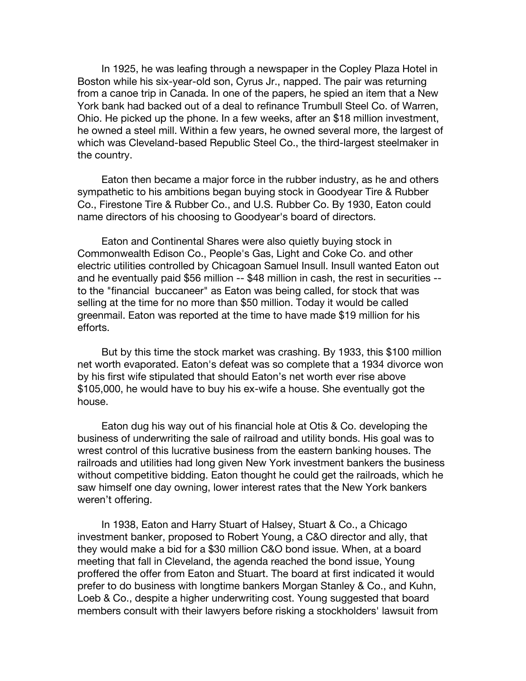In 1925, he was leafing through a newspaper in the Copley Plaza Hotel in Boston while his six-year-old son, Cyrus Jr., napped. The pair was returning from a canoe trip in Canada. In one of the papers, he spied an item that a New York bank had backed out of a deal to refinance Trumbull Steel Co. of Warren, Ohio. He picked up the phone. In a few weeks, after an \$18 million investment, he owned a steel mill. Within a few years, he owned several more, the largest of which was Cleveland-based Republic Steel Co., the third-largest steelmaker in the country.

Eaton then became a major force in the rubber industry, as he and others sympathetic to his ambitions began buying stock in Goodyear Tire & Rubber Co., Firestone Tire & Rubber Co., and U.S. Rubber Co. By 1930, Eaton could name directors of his choosing to Goodyear's board of directors.

Eaton and Continental Shares were also quietly buying stock in Commonwealth Edison Co., People's Gas, Light and Coke Co. and other electric utilities controlled by Chicagoan Samuel Insull. Insull wanted Eaton out and he eventually paid \$56 million -- \$48 million in cash, the rest in securities - to the "financial buccaneer" as Eaton was being called, for stock that was selling at the time for no more than \$50 million. Today it would be called greenmail. Eaton was reported at the time to have made \$19 million for his efforts.

But by this time the stock market was crashing. By 1933, this \$100 million net worth evaporated. Eaton's defeat was so complete that a 1934 divorce won by his first wife stipulated that should Eaton's net worth ever rise above \$105,000, he would have to buy his ex-wife a house. She eventually got the house.

Eaton dug his way out of his financial hole at Otis & Co. developing the business of underwriting the sale of railroad and utility bonds. His goal was to wrest control of this lucrative business from the eastern banking houses. The railroads and utilities had long given New York investment bankers the business without competitive bidding. Eaton thought he could get the railroads, which he saw himself one day owning, lower interest rates that the New York bankers weren't offering.

In 1938, Eaton and Harry Stuart of Halsey, Stuart & Co., a Chicago investment banker, proposed to Robert Young, a C&O director and ally, that they would make a bid for a \$30 million C&O bond issue. When, at a board meeting that fall in Cleveland, the agenda reached the bond issue, Young proffered the offer from Eaton and Stuart. The board at first indicated it would prefer to do business with longtime bankers Morgan Stanley & Co., and Kuhn, Loeb & Co., despite a higher underwriting cost. Young suggested that board members consult with their lawyers before risking a stockholders' lawsuit from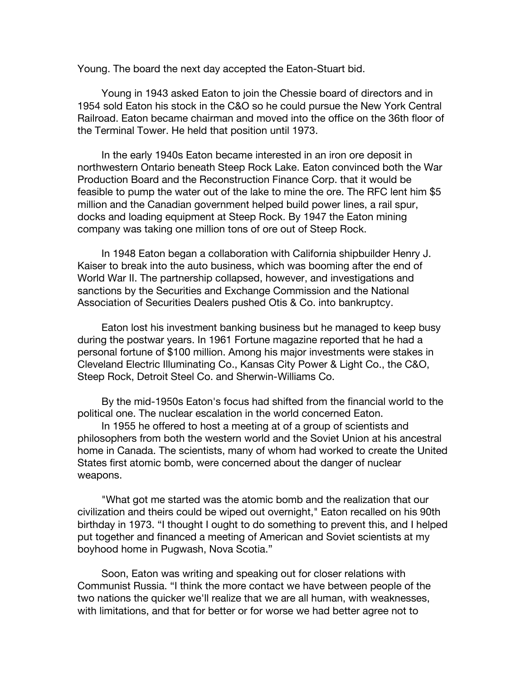Young. The board the next day accepted the Eaton-Stuart bid.

Young in 1943 asked Eaton to join the Chessie board of directors and in 1954 sold Eaton his stock in the C&O so he could pursue the New York Central Railroad. Eaton became chairman and moved into the office on the 36th floor of the Terminal Tower. He held that position until 1973.

In the early 1940s Eaton became interested in an iron ore deposit in northwestern Ontario beneath Steep Rock Lake. Eaton convinced both the War Production Board and the Reconstruction Finance Corp. that it would be feasible to pump the water out of the lake to mine the ore. The RFC lent him \$5 million and the Canadian government helped build power lines, a rail spur, docks and loading equipment at Steep Rock. By 1947 the Eaton mining company was taking one million tons of ore out of Steep Rock.

In 1948 Eaton began a collaboration with California shipbuilder Henry J. Kaiser to break into the auto business, which was booming after the end of World War II. The partnership collapsed, however, and investigations and sanctions by the Securities and Exchange Commission and the National Association of Securities Dealers pushed Otis & Co. into bankruptcy.

Eaton lost his investment banking business but he managed to keep busy during the postwar years. In 1961 Fortune magazine reported that he had a personal fortune of \$100 million. Among his major investments were stakes in Cleveland Electric Illuminating Co., Kansas City Power & Light Co., the C&O, Steep Rock, Detroit Steel Co. and Sherwin-Williams Co.

By the mid-1950s Eaton's focus had shifted from the financial world to the political one. The nuclear escalation in the world concerned Eaton.

In 1955 he offered to host a meeting at of a group of scientists and philosophers from both the western world and the Soviet Union at his ancestral home in Canada. The scientists, many of whom had worked to create the United States first atomic bomb, were concerned about the danger of nuclear weapons.

"What got me started was the atomic bomb and the realization that our civilization and theirs could be wiped out overnight," Eaton recalled on his 90th birthday in 1973. "I thought I ought to do something to prevent this, and I helped put together and financed a meeting of American and Soviet scientists at my boyhood home in Pugwash, Nova Scotia."

Soon, Eaton was writing and speaking out for closer relations with Communist Russia. "I think the more contact we have between people of the two nations the quicker we'll realize that we are all human, with weaknesses, with limitations, and that for better or for worse we had better agree not to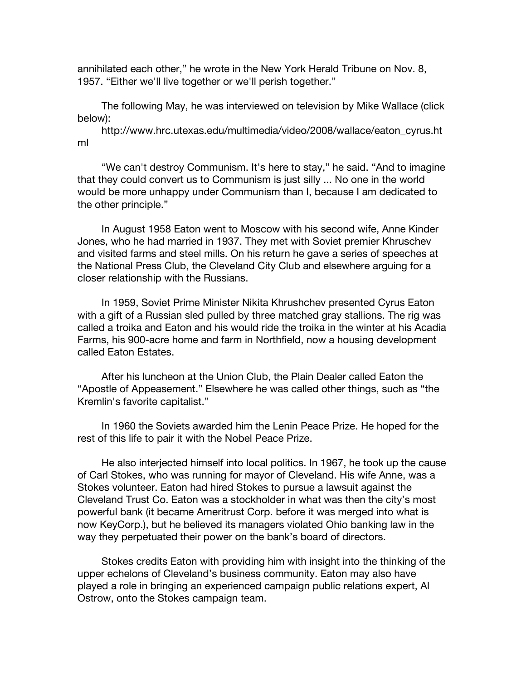annihilated each other," he wrote in the New York Herald Tribune on Nov. 8, 1957. "Either we'll live together or we'll perish together."

The following May, he was interviewed on television by Mike Wallace (click below):

http://www.hrc.utexas.edu/multimedia/video/2008/wallace/eaton\_cyrus.ht ml

"We can't destroy Communism. It's here to stay," he said. "And to imagine that they could convert us to Communism is just silly ... No one in the world would be more unhappy under Communism than I, because I am dedicated to the other principle."

In August 1958 Eaton went to Moscow with his second wife, Anne Kinder Jones, who he had married in 1937. They met with Soviet premier Khruschev and visited farms and steel mills. On his return he gave a series of speeches at the National Press Club, the Cleveland City Club and elsewhere arguing for a closer relationship with the Russians.

In 1959, Soviet Prime Minister Nikita Khrushchev presented Cyrus Eaton with a gift of a Russian sled pulled by three matched gray stallions. The rig was called a troika and Eaton and his would ride the troika in the winter at his Acadia Farms, his 900-acre home and farm in Northfield, now a housing development called Eaton Estates.

After his luncheon at the Union Club, the Plain Dealer called Eaton the "Apostle of Appeasement." Elsewhere he was called other things, such as "the Kremlin's favorite capitalist."

In 1960 the Soviets awarded him the Lenin Peace Prize. He hoped for the rest of this life to pair it with the Nobel Peace Prize.

He also interjected himself into local politics. In 1967, he took up the cause of Carl Stokes, who was running for mayor of Cleveland. His wife Anne, was a Stokes volunteer. Eaton had hired Stokes to pursue a lawsuit against the Cleveland Trust Co. Eaton was a stockholder in what was then the city's most powerful bank (it became Ameritrust Corp. before it was merged into what is now KeyCorp.), but he believed its managers violated Ohio banking law in the way they perpetuated their power on the bank's board of directors.

Stokes credits Eaton with providing him with insight into the thinking of the upper echelons of Cleveland's business community. Eaton may also have played a role in bringing an experienced campaign public relations expert, Al Ostrow, onto the Stokes campaign team.